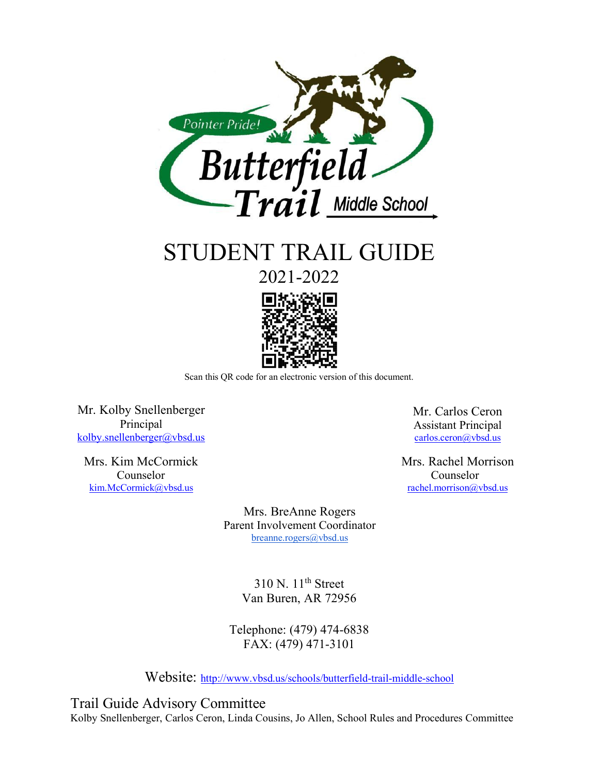

STUDENT TRAIL GUIDE

2021-2022



Scan this QR code for an electronic version of this document.

Mr. Kolby Snellenberger Principal [kolby.snellenberger@vbsd.us](mailto:kolby.snellenberger@vbsd.us)

Mrs. Kim McCormick Counselor [kim.McCormick@vbsd.us](mailto:kim.McCormick@vbsd.us)

Mr. Carlos Ceron Assistant Principal [carlos.ceron@vbsd.us](mailto:carlos.ceron@vbsd.us)

Mrs. Rachel Morrison Counselor [rachel.morrison@vbsd.us](mailto:rachel.morrison@vbsd.us)

Mrs. BreAnne Rogers Parent Involvement Coordinator [breanne.rogers@vbsd.us](mailto:breanne.rogers@vbsd.us)

> $310$  N.  $11<sup>th</sup>$  Street Van Buren, AR 72956

Telephone: (479) 474-6838 FAX: (479) 471-3101

Website:<http://www.vbsd.us/schools/butterfield-trail-middle-school>

Trail Guide Advisory Committee Kolby Snellenberger, Carlos Ceron, Linda Cousins, Jo Allen, School Rules and Procedures Committee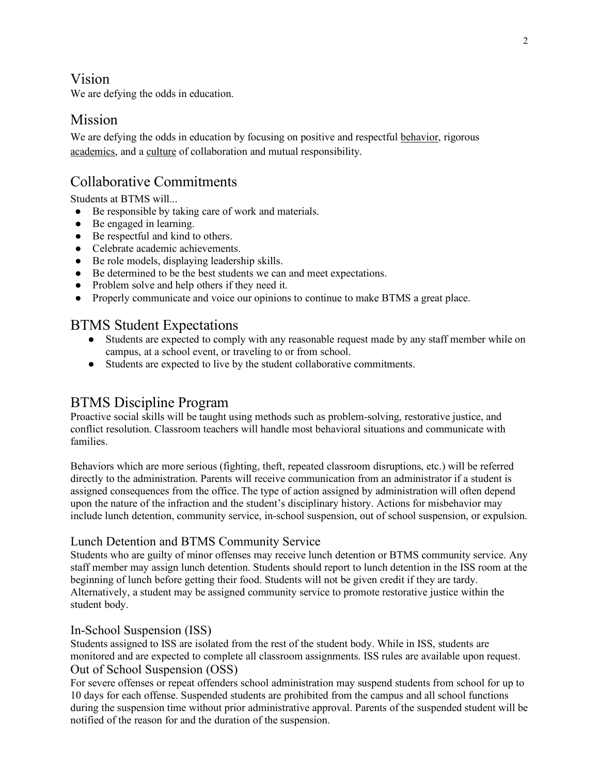### Vision

We are defying the odds in education.

## Mission

We are defying the odds in education by focusing on positive and respectful behavior, rigorous academics, and a culture of collaboration and mutual responsibility.

# Collaborative Commitments

Students at BTMS will...

- Be responsible by taking care of work and materials.
- Be engaged in learning.
- Be respectful and kind to others.
- Celebrate academic achievements.
- Be role models, displaying leadership skills.
- Be determined to be the best students we can and meet expectations.
- Problem solve and help others if they need it.
- Properly communicate and voice our opinions to continue to make BTMS a great place.

### BTMS Student Expectations

- Students are expected to comply with any reasonable request made by any staff member while on campus, at a school event, or traveling to or from school.
- Students are expected to live by the student collaborative commitments.

## BTMS Discipline Program

Proactive social skills will be taught using methods such as problem-solving, restorative justice, and conflict resolution. Classroom teachers will handle most behavioral situations and communicate with families.

Behaviors which are more serious (fighting, theft, repeated classroom disruptions, etc.) will be referred directly to the administration. Parents will receive communication from an administrator if a student is assigned consequences from the office. The type of action assigned by administration will often depend upon the nature of the infraction and the student's disciplinary history. Actions for misbehavior may include lunch detention, community service, in-school suspension, out of school suspension, or expulsion.

### Lunch Detention and BTMS Community Service

Students who are guilty of minor offenses may receive lunch detention or BTMS community service. Any staff member may assign lunch detention. Students should report to lunch detention in the ISS room at the beginning of lunch before getting their food. Students will not be given credit if they are tardy. Alternatively, a student may be assigned community service to promote restorative justice within the student body.

### In-School Suspension (ISS)

Students assigned to ISS are isolated from the rest of the student body. While in ISS, students are monitored and are expected to complete all classroom assignments. ISS rules are available upon request. Out of School Suspension (OSS)

For severe offenses or repeat offenders school administration may suspend students from school for up to 10 days for each offense. Suspended students are prohibited from the campus and all school functions during the suspension time without prior administrative approval. Parents of the suspended student will be notified of the reason for and the duration of the suspension.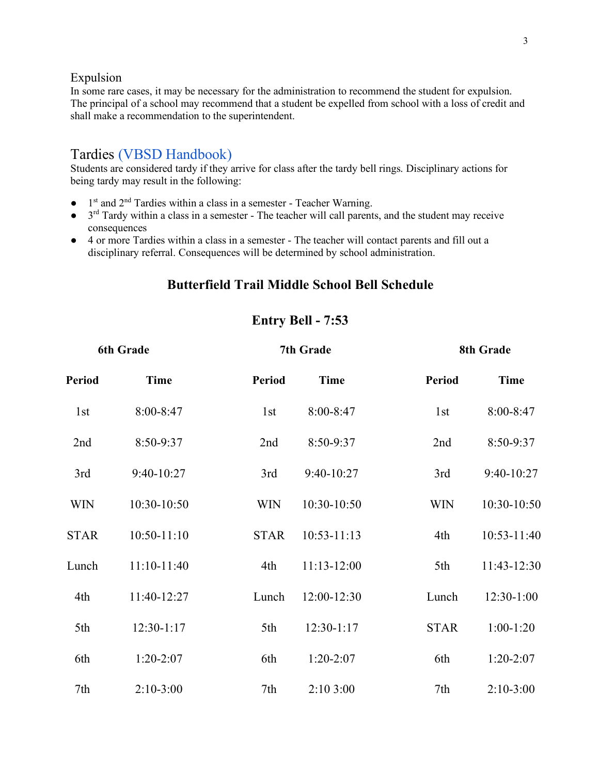#### Expulsion

In some rare cases, it may be necessary for the administration to recommend the student for expulsion. The principal of a school may recommend that a student be expelled from school with a loss of credit and shall make a recommendation to the superintendent.

## Tardies [\(VBSD Handbook\)](https://www.vbsd.us/assets/uploads/2019/07/20190726091642-district-student-handbookpdf.pdf)

Students are considered tardy if they arrive for class after the tardy bell rings. Disciplinary actions for being tardy may result in the following:

- $\bullet$  1<sup>st</sup> and 2<sup>nd</sup> Tardies within a class in a semester Teacher Warning.
- $\bullet$  3<sup>rd</sup> Tardy within a class in a semester The teacher will call parents, and the student may receive consequences
- 4 or more Tardies within a class in a semester The teacher will contact parents and fill out a disciplinary referral. Consequences will be determined by school administration.

### **Butterfield Trail Middle School Bell Schedule**

### **Entry Bell - 7:53**

| 6th Grade       |               | 7th Grade     |                 |                 | 8th Grade    |  |
|-----------------|---------------|---------------|-----------------|-----------------|--------------|--|
| <b>Period</b>   | <b>Time</b>   | <b>Period</b> | <b>Time</b>     | <b>Period</b>   | <b>Time</b>  |  |
| 1 <sub>st</sub> | 8:00-8:47     | 1st           | 8:00-8:47       | 1 <sub>st</sub> | 8:00-8:47    |  |
| 2nd             | 8:50-9:37     | 2nd           | 8:50-9:37       | 2nd             | 8:50-9:37    |  |
| 3rd             | 9:40-10:27    | 3rd           | 9:40-10:27      | 3rd             | 9:40-10:27   |  |
| <b>WIN</b>      | 10:30-10:50   | <b>WIN</b>    | 10:30-10:50     | <b>WIN</b>      | 10:30-10:50  |  |
| <b>STAR</b>     | $10:50-11:10$ | <b>STAR</b>   | $10:53 - 11:13$ | 4th             | 10:53-11:40  |  |
| Lunch           | $11:10-11:40$ | 4th           | $11:13-12:00$   | 5th             | 11:43-12:30  |  |
| 4th             | 11:40-12:27   | Lunch         | 12:00-12:30     | Lunch           | $12:30-1:00$ |  |
| 5th             | $12:30-1:17$  | 5th           | $12:30-1:17$    | <b>STAR</b>     | $1:00-1:20$  |  |
| 6th             | $1:20-2:07$   | 6th           | $1:20-2:07$     | 6th             | $1:20-2:07$  |  |
| 7th             | $2:10-3:00$   | 7th           | 2:103:00        | 7th             | $2:10-3:00$  |  |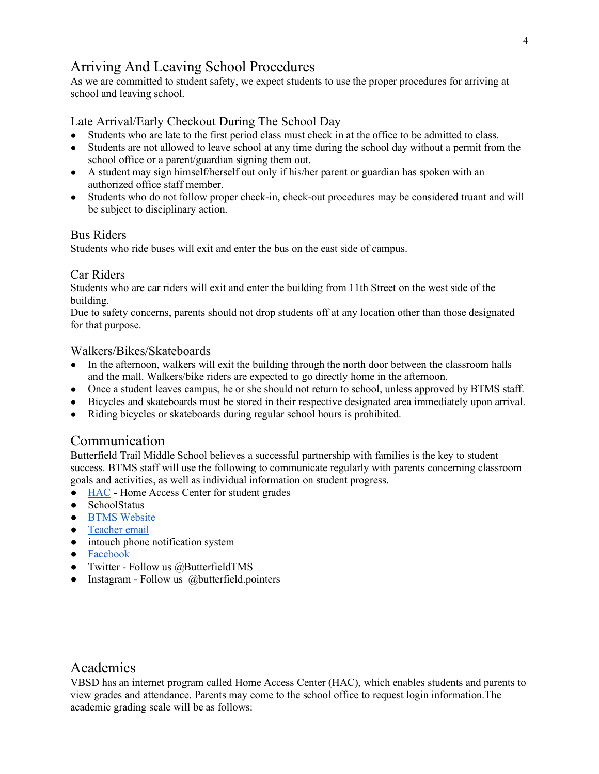# Arriving And Leaving School Procedures

As we are committed to student safety, we expect students to use the proper procedures for arriving at school and leaving school.

### Late Arrival/Early Checkout During The School Day

- Students who are late to the first period class must check in at the office to be admitted to class.
- Students are not allowed to leave school at any time during the school day without a permit from the school office or a parent/guardian signing them out.
- A student may sign himself/herself out only if his/her parent or guardian has spoken with an authorized office staff member.
- Students who do not follow proper check-in, check-out procedures may be considered truant and will be subject to disciplinary action.

### Bus Riders

Students who ride buses will exit and enter the bus on the east side of campus.

#### Car Riders

Students who are car riders will exit and enter the building from 11th Street on the west side of the building.

Due to safety concerns, parents should not drop students off at any location other than those designated for that purpose.

#### Walkers/Bikes/Skateboards

- In the afternoon, walkers will exit the building through the north door between the classroom halls and the mall. Walkers/bike riders are expected to go directly home in the afternoon.
- Once a student leaves campus, he or she should not return to school, unless approved by BTMS staff.
- Bicycles and skateboards must be stored in their respective designated area immediately upon arrival.
- Riding bicycles or skateboards during regular school hours is prohibited.

## Communication

Butterfield Trail Middle School believes a successful partnership with families is the key to student success. BTMS staff will use the following to communicate regularly with parents concerning classroom goals and activities, as well as individual information on student progress.

- [HAC](https://hac20.esp.k12.ar.us/HomeAccess20/Account/LogOn?ReturnUrl=%2fHomeAccess20%2f) Home Access Center for student grades
- SchoolStatus
- **•** [BTMS Website](https://www.vbsd.us/news/school/8/butterfield-trail-middle-school?page=2)
- [Teacher email](https://www.vbsd.us/schools/butterfield-trail-middle-school/faculty-directory)
- intouch phone notification system
- [Facebook](https://www.facebook.com/ButterfieldTrailMS)
- Twitter Follow us @ButterfieldTMS
- Instagram Follow us @butterfield.pointers

## Academics

VBSD has an internet program called Home Access Center (HAC), which enables students and parents to view grades and attendance. Parents may come to the school office to request login information.The academic grading scale will be as follows: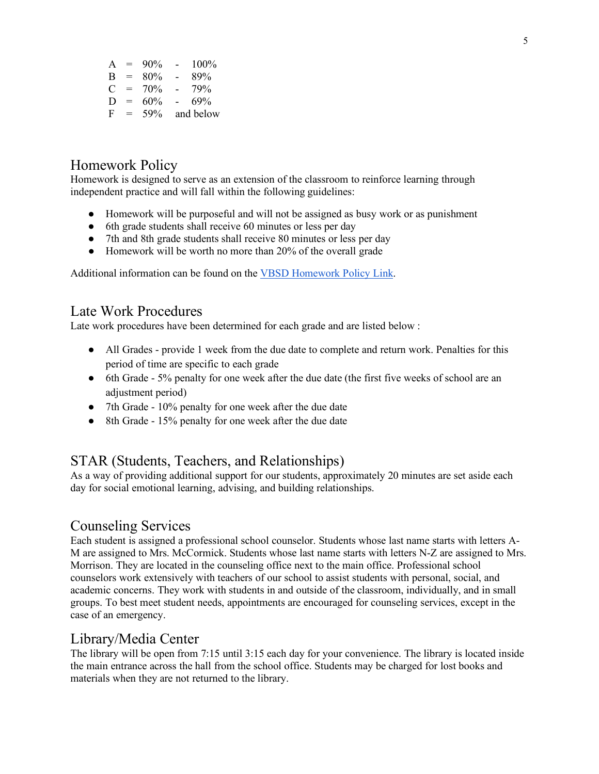| A | $=$ | 90% | $\blacksquare$ | 100%      |
|---|-----|-----|----------------|-----------|
| B | $=$ | 80% | $\blacksquare$ | 89%       |
| C | $=$ | 70% | Ξ.             | 79%       |
| D | $=$ | 60% | $\equiv$       | 69%       |
| F | $=$ | 59% |                | and below |

# Homework Policy

Homework is designed to serve as an extension of the classroom to reinforce learning through independent practice and will fall within the following guidelines:

- Homework will be purposeful and will not be assigned as busy work or as punishment
- 6th grade students shall receive 60 minutes or less per day
- 7th and 8th grade students shall receive 80 minutes or less per day
- Homework will be worth no more than 20% of the overall grade

Additional information can be found on the [VBSD Homework Policy Link.](https://www.vbsd.us/assets/uploads/2019/07/20190726091642-district-student-handbookpdf.pdf#page=111)

## Late Work Procedures

Late work procedures have been determined for each grade and are listed below :

- All Grades provide 1 week from the due date to complete and return work. Penalties for this period of time are specific to each grade
- 6th Grade 5% penalty for one week after the due date (the first five weeks of school are an adjustment period)
- 7th Grade 10% penalty for one week after the due date
- 8th Grade 15% penalty for one week after the due date

## STAR (Students, Teachers, and Relationships)

As a way of providing additional support for our students, approximately 20 minutes are set aside each day for social emotional learning, advising, and building relationships.

## Counseling Services

Each student is assigned a professional school counselor. Students whose last name starts with letters A-M are assigned to Mrs. McCormick. Students whose last name starts with letters N-Z are assigned to Mrs. Morrison. They are located in the counseling office next to the main office. Professional school counselors work extensively with teachers of our school to assist students with personal, social, and academic concerns. They work with students in and outside of the classroom, individually, and in small groups. To best meet student needs, appointments are encouraged for counseling services, except in the case of an emergency.

## Library/Media Center

The library will be open from 7:15 until 3:15 each day for your convenience. The library is located inside the main entrance across the hall from the school office. Students may be charged for lost books and materials when they are not returned to the library.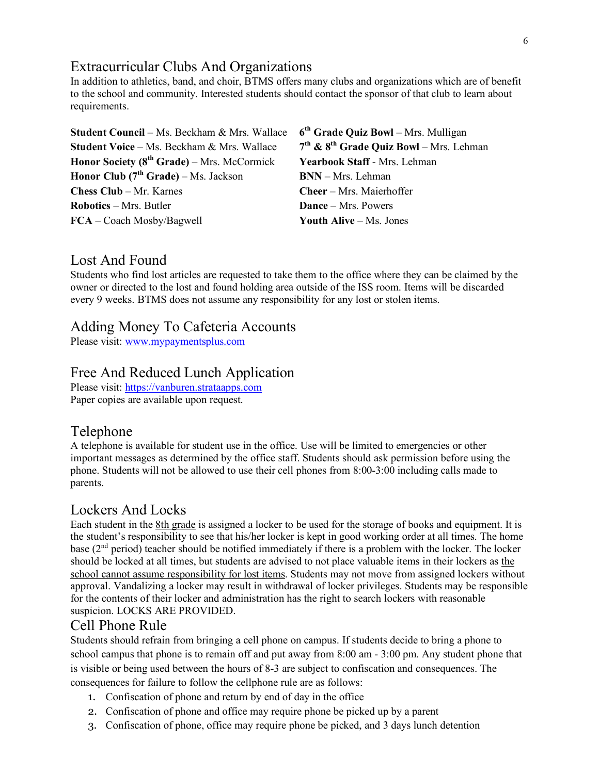# Extracurricular Clubs And Organizations

In addition to athletics, band, and choir, BTMS offers many clubs and organizations which are of benefit to the school and community. Interested students should contact the sponsor of that club to learn about requirements.

| $6th$ Grade Quiz Bowl – Mrs. Mulligan       |
|---------------------------------------------|
| $7th$ & $8th$ Grade Quiz Bowl – Mrs. Lehman |
| Yearbook Staff - Mrs. Lehman                |
| <b>BNN</b> - Mrs. Lehman                    |
| Cheer – Mrs. Maierhoffer                    |
| <b>Dance</b> – Mrs. Powers                  |
| Youth Alive $-Ms$ . Jones                   |
|                                             |

## Lost And Found

Students who find lost articles are requested to take them to the office where they can be claimed by the owner or directed to the lost and found holding area outside of the ISS room. Items will be discarded every 9 weeks. BTMS does not assume any responsibility for any lost or stolen items.

### Adding Money To Cafeteria Accounts

Please visit[: www.mypaymentsplus.com](http://www.mypaymentsplus.com/)

## Free And Reduced Lunch Application

Please visit[: https://vanburen.strataapps.com](https://vanburen.strataapps.com/) Paper copies are available upon request.

### Telephone

A telephone is available for student use in the office. Use will be limited to emergencies or other important messages as determined by the office staff. Students should ask permission before using the phone. Students will not be allowed to use their cell phones from 8:00-3:00 including calls made to parents.

## Lockers And Locks

Each student in the 8th grade is assigned a locker to be used for the storage of books and equipment. It is the student's responsibility to see that his/her locker is kept in good working order at all times. The home base (2nd period) teacher should be notified immediately if there is a problem with the locker. The locker should be locked at all times, but students are advised to not place valuable items in their lockers as the school cannot assume responsibility for lost items. Students may not move from assigned lockers without approval. Vandalizing a locker may result in withdrawal of locker privileges. Students may be responsible for the contents of their locker and administration has the right to search lockers with reasonable suspicion. LOCKS ARE PROVIDED.

### Cell Phone Rule

Students should refrain from bringing a cell phone on campus. If students decide to bring a phone to school campus that phone is to remain off and put away from 8:00 am - 3:00 pm. Any student phone that is visible or being used between the hours of 8-3 are subject to confiscation and consequences. The consequences for failure to follow the cellphone rule are as follows:

- 1. Confiscation of phone and return by end of day in the office
- 2. Confiscation of phone and office may require phone be picked up by a parent
- 3. Confiscation of phone, office may require phone be picked, and 3 days lunch detention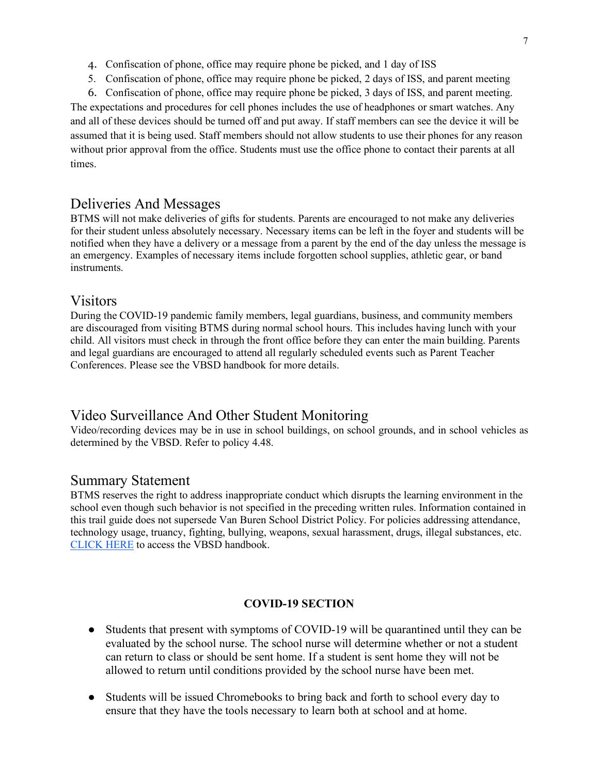- 4. Confiscation of phone, office may require phone be picked, and 1 day of ISS
- 5. Confiscation of phone, office may require phone be picked, 2 days of ISS, and parent meeting
- 6. Confiscation of phone, office may require phone be picked, 3 days of ISS, and parent meeting.

The expectations and procedures for cell phones includes the use of headphones or smart watches. Any and all of these devices should be turned off and put away. If staff members can see the device it will be assumed that it is being used. Staff members should not allow students to use their phones for any reason without prior approval from the office. Students must use the office phone to contact their parents at all times.

### Deliveries And Messages

BTMS will not make deliveries of gifts for students. Parents are encouraged to not make any deliveries for their student unless absolutely necessary. Necessary items can be left in the foyer and students will be notified when they have a delivery or a message from a parent by the end of the day unless the message is an emergency. Examples of necessary items include forgotten school supplies, athletic gear, or band instruments.

### Visitors

During the COVID-19 pandemic family members, legal guardians, business, and community members are discouraged from visiting BTMS during normal school hours. This includes having lunch with your child. All visitors must check in through the front office before they can enter the main building. Parents and legal guardians are encouraged to attend all regularly scheduled events such as Parent Teacher Conferences. Please see the VBSD handbook for more details.

## Video Surveillance And Other Student Monitoring

Video/recording devices may be in use in school buildings, on school grounds, and in school vehicles as determined by the VBSD. Refer to policy 4.48.

#### Summary Statement

BTMS reserves the right to address inappropriate conduct which disrupts the learning environment in the school even though such behavior is not specified in the preceding written rules. Information contained in this trail guide does not supersede Van Buren School District Policy. For policies addressing attendance, technology usage, truancy, fighting, bullying, weapons, sexual harassment, drugs, illegal substances, etc. [CLICK HERE](https://www.vbsd.us/assets/uploads/2019/07/20190726091642-district-student-handbookpdf.pdf) to access the VBSD handbook.

#### **COVID-19 SECTION**

- Students that present with symptoms of COVID-19 will be quarantined until they can be evaluated by the school nurse. The school nurse will determine whether or not a student can return to class or should be sent home. If a student is sent home they will not be allowed to return until conditions provided by the school nurse have been met.
- Students will be issued Chromebooks to bring back and forth to school every day to ensure that they have the tools necessary to learn both at school and at home.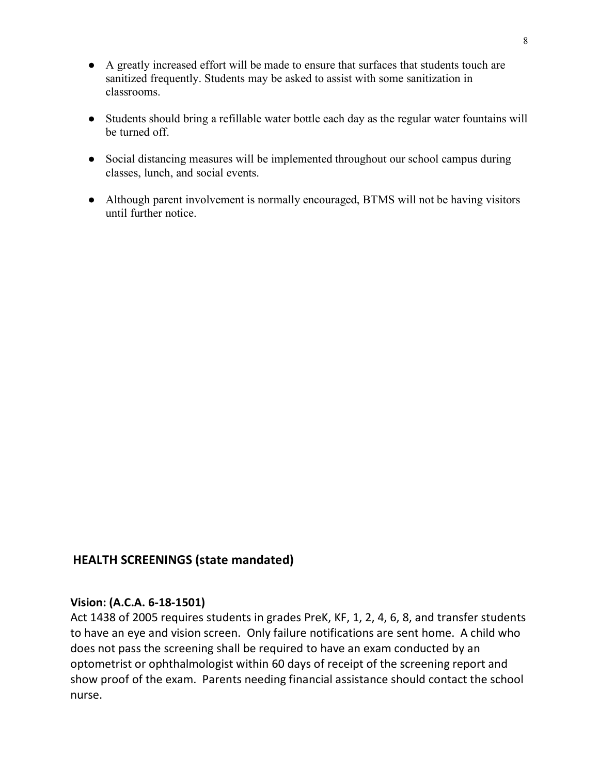- A greatly increased effort will be made to ensure that surfaces that students touch are sanitized frequently. Students may be asked to assist with some sanitization in classrooms.
- Students should bring a refillable water bottle each day as the regular water fountains will be turned off.
- Social distancing measures will be implemented throughout our school campus during classes, lunch, and social events.
- Although parent involvement is normally encouraged, BTMS will not be having visitors until further notice.

## **HEALTH SCREENINGS (state mandated)**

### **Vision: (A.C.A. 6-18-1501)**

Act 1438 of 2005 requires students in grades PreK, KF, 1, 2, 4, 6, 8, and transfer students to have an eye and vision screen. Only failure notifications are sent home. A child who does not pass the screening shall be required to have an exam conducted by an optometrist or ophthalmologist within 60 days of receipt of the screening report and show proof of the exam. Parents needing financial assistance should contact the school nurse.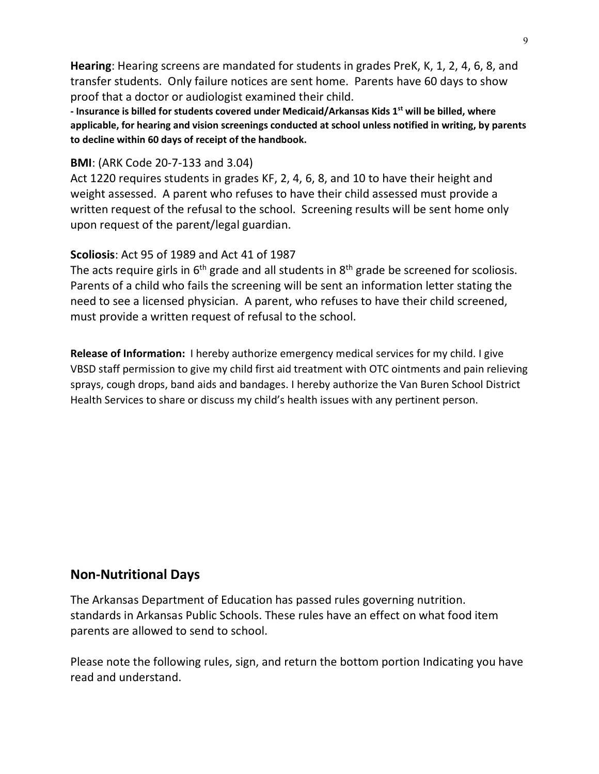**Hearing**: Hearing screens are mandated for students in grades PreK, K, 1, 2, 4, 6, 8, and transfer students. Only failure notices are sent home. Parents have 60 days to show proof that a doctor or audiologist examined their child.

**- Insurance is billed for students covered under Medicaid/Arkansas Kids 1st will be billed, where applicable, for hearing and vision screenings conducted at school unless notified in writing, by parents to decline within 60 days of receipt of the handbook.** 

### **BMI**: (ARK Code 20-7-133 and 3.04)

Act 1220 requires students in grades KF, 2, 4, 6, 8, and 10 to have their height and weight assessed. A parent who refuses to have their child assessed must provide a written request of the refusal to the school. Screening results will be sent home only upon request of the parent/legal guardian.

## **Scoliosis**: Act 95 of 1989 and Act 41 of 1987

The acts require girls in  $6<sup>th</sup>$  grade and all students in  $8<sup>th</sup>$  grade be screened for scoliosis. Parents of a child who fails the screening will be sent an information letter stating the need to see a licensed physician. A parent, who refuses to have their child screened, must provide a written request of refusal to the school.

**Release of Information:** I hereby authorize emergency medical services for my child. I give VBSD staff permission to give my child first aid treatment with OTC ointments and pain relieving sprays, cough drops, band aids and bandages. I hereby authorize the Van Buren School District Health Services to share or discuss my child's health issues with any pertinent person.

# **Non-Nutritional Days**

The Arkansas Department of Education has passed rules governing nutrition. standards in Arkansas Public Schools. These rules have an effect on what food item parents are allowed to send to school.

Please note the following rules, sign, and return the bottom portion Indicating you have read and understand.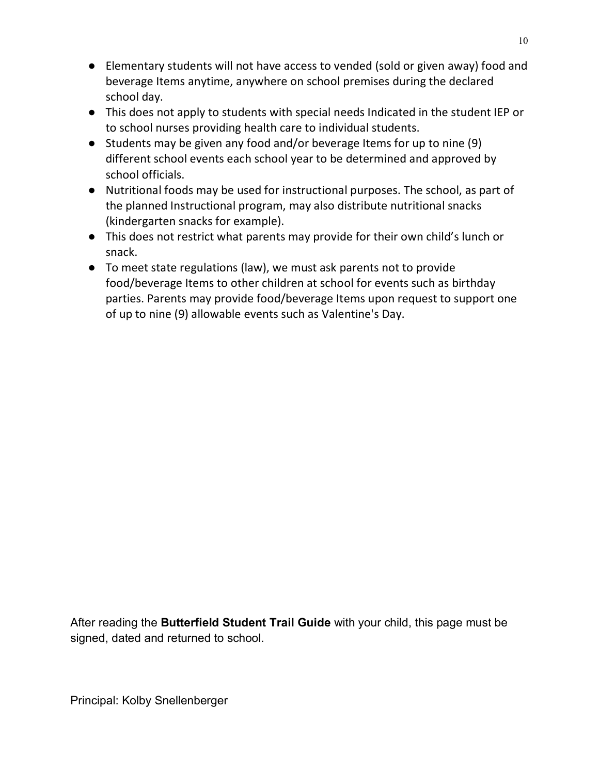- Elementary students will not have access to vended (sold or given away) food and beverage Items anytime, anywhere on school premises during the declared school day.
- This does not apply to students with special needs Indicated in the student IEP or to school nurses providing health care to individual students.
- Students may be given any food and/or beverage Items for up to nine (9) different school events each school year to be determined and approved by school officials.
- Nutritional foods may be used for instructional purposes. The school, as part of the planned Instructional program, may also distribute nutritional snacks (kindergarten snacks for example).
- This does not restrict what parents may provide for their own child's lunch or snack.
- To meet state regulations (law), we must ask parents not to provide food/beverage Items to other children at school for events such as birthday parties. Parents may provide food/beverage Items upon request to support one of up to nine (9) allowable events such as Valentine's Day.

After reading the **Butterfield Student Trail Guide** with your child, this page must be signed, dated and returned to school.

Principal: Kolby Snellenberger